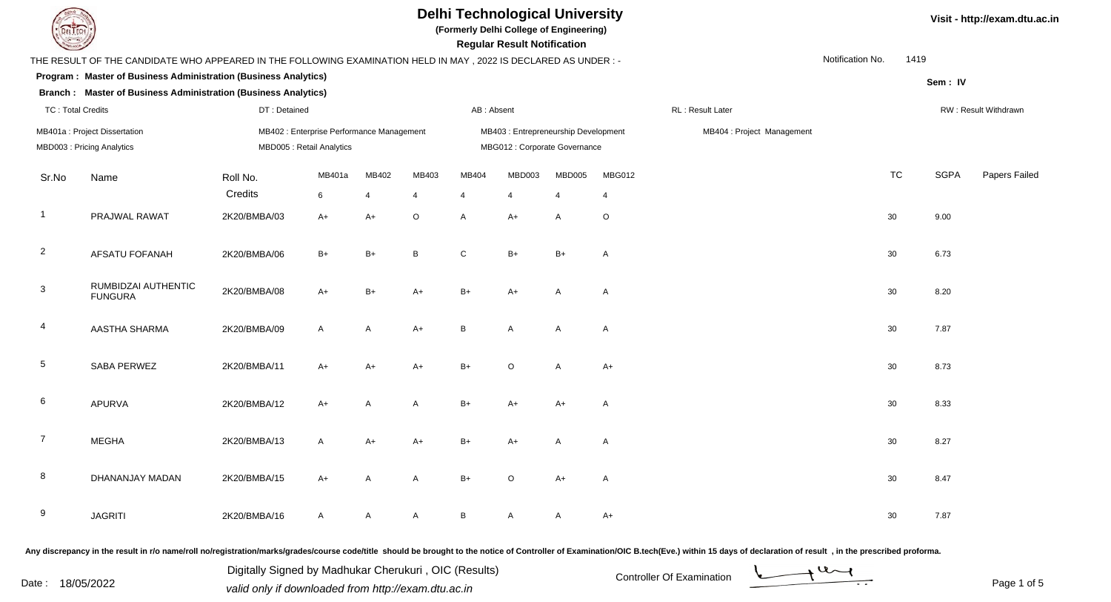

**(Formerly Delhi College of Engineering)**

 **Regular Result Notification**

|                 | THE RESULT OF THE CANDIDATE WHO APPEARED IN THE FOLLOWING EXAMINATION HELD IN MAY, 2022 IS DECLARED AS UNDER :-   |                     |                                                                        |            |                         |                         |                                                                       |                          |              |                  |                            |  | Notification No.<br>1419 |             |                      |
|-----------------|-------------------------------------------------------------------------------------------------------------------|---------------------|------------------------------------------------------------------------|------------|-------------------------|-------------------------|-----------------------------------------------------------------------|--------------------------|--------------|------------------|----------------------------|--|--------------------------|-------------|----------------------|
|                 | Program: Master of Business Administration (Business Analytics)                                                   |                     |                                                                        |            |                         |                         |                                                                       |                          |              |                  |                            |  |                          | Sem: IV     |                      |
|                 | <b>Branch: Master of Business Administration (Business Analytics)</b><br><b>TC: Total Credits</b><br>DT: Detained |                     |                                                                        |            |                         | AB: Absent              |                                                                       |                          |              | RL: Result Later |                            |  |                          |             | RW: Result Withdrawn |
|                 | MB401a : Project Dissertation<br>MBD003: Pricing Analytics                                                        |                     | MB402 : Enterprise Performance Management<br>MBD005 : Retail Analytics |            |                         |                         | MB403 : Entrepreneurship Development<br>MBG012 : Corporate Governance |                          |              |                  | MB404 : Project Management |  |                          |             |                      |
| Sr.No           | Name                                                                                                              | Roll No.<br>Credits | MB401a<br>$\,6\,$                                                      | MB402<br>4 | MB403<br>$\overline{4}$ | MB404<br>$\overline{4}$ | MBD003<br>$\overline{4}$                                              | MBD005<br>$\overline{4}$ | MBG012<br>4  |                  |                            |  | <b>TC</b>                | <b>SGPA</b> | Papers Failed        |
| $\overline{1}$  | PRAJWAL RAWAT                                                                                                     | 2K20/BMBA/03        | $A+$                                                                   | $A+$       | $\mathsf O$             | A                       | $A+$                                                                  | A                        | $\circ$      |                  |                            |  | 30                       | 9.00        |                      |
| $\overline{2}$  | <b>AFSATU FOFANAH</b>                                                                                             | 2K20/BMBA/06        | $B+$                                                                   | $B+$       | $\, {\sf B}$            | $\mathsf{C}$            | $B+$                                                                  | $B+$                     | A            |                  |                            |  | 30 <sup>°</sup>          | 6.73        |                      |
| $\mathbf{3}$    | RUMBIDZAI AUTHENTIC<br><b>FUNGURA</b>                                                                             | 2K20/BMBA/08        | $A+$                                                                   | $B+$       | A+                      | $B+$                    | A+                                                                    | A                        | $\mathsf{A}$ |                  |                            |  | 30                       | 8.20        |                      |
| 4               | AASTHA SHARMA                                                                                                     | 2K20/BMBA/09        | $\mathsf{A}$                                                           | A          | $A+$                    | B                       | A                                                                     | A                        | $\mathsf{A}$ |                  |                            |  | 30                       | 7.87        |                      |
| $5\phantom{.0}$ | SABA PERWEZ                                                                                                       | 2K20/BMBA/11        | $A+$                                                                   | A+         | A+                      | $B+$                    | $\circ$                                                               | A                        | $A+$         |                  |                            |  | 30 <sup>°</sup>          | 8.73        |                      |
| 6               | <b>APURVA</b>                                                                                                     | 2K20/BMBA/12        | $A+$                                                                   | A          | A                       | $B+$                    | A+                                                                    | $A+$                     | $\mathsf{A}$ |                  |                            |  | 30                       | 8.33        |                      |
| $\overline{7}$  | <b>MEGHA</b>                                                                                                      | 2K20/BMBA/13        | $\mathsf{A}$                                                           | $A+$       | $A+$                    | $B+$                    | $A+$                                                                  | A                        | $\mathsf{A}$ |                  |                            |  | 30                       | 8.27        |                      |
| 8               | DHANANJAY MADAN                                                                                                   | 2K20/BMBA/15        | $A+$                                                                   | A          | A                       | $B+$                    | O                                                                     | $A+$                     | $\mathsf{A}$ |                  |                            |  | 30                       | 8.47        |                      |
| 9               | <b>JAGRITI</b>                                                                                                    | 2K20/BMBA/16        | $\mathsf{A}$                                                           | A          | $\mathsf{A}$            | B                       | A                                                                     | A                        | $A+$         |                  |                            |  | 30                       | 7.87        |                      |

Any discrepancy in the result in r/o name/roll no/registration/marks/grades/course code/title should be brought to the notice of Controller of Examination/OIC B.tech(Eve.) within 15 days of declaration of result, in the pr

Date : 18/05/2022 Valid only if downloaded from http://exam.dtu.ac.in Controller Of Examination Determination Page 1 of Digitally Signed by Madhukar Cherukuri , OIC (Results)

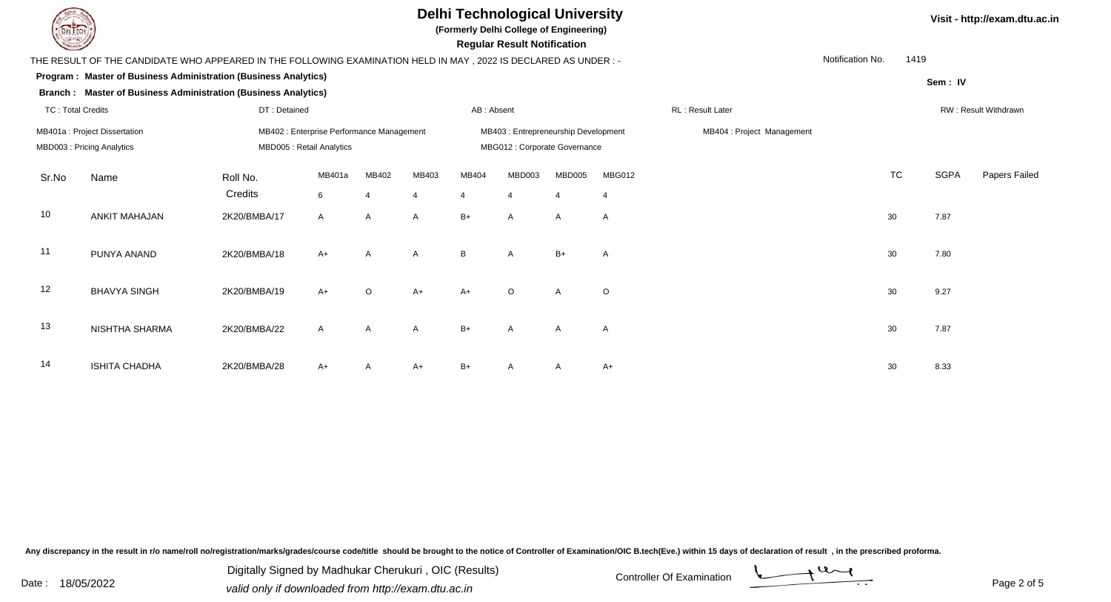

**(Formerly Delhi College of Engineering)**

 **Regular Result Notification**

|       |                                                                                                                   |                                                                        |             |                         |                         |                                                                      | 109                      |                          |                            |                  |                  |           |             |                      |
|-------|-------------------------------------------------------------------------------------------------------------------|------------------------------------------------------------------------|-------------|-------------------------|-------------------------|----------------------------------------------------------------------|--------------------------|--------------------------|----------------------------|------------------|------------------|-----------|-------------|----------------------|
|       | THE RESULT OF THE CANDIDATE WHO APPEARED IN THE FOLLOWING EXAMINATION HELD IN MAY , 2022 IS DECLARED AS UNDER : - |                                                                        |             |                         |                         |                                                                      |                          |                          |                            |                  | Notification No. | 1419      |             |                      |
|       | Program: Master of Business Administration (Business Analytics)                                                   |                                                                        |             |                         |                         |                                                                      |                          |                          |                            |                  |                  |           | Sem: IV     |                      |
|       | Branch: Master of Business Administration (Business Analytics)                                                    |                                                                        |             |                         |                         |                                                                      |                          |                          |                            |                  |                  |           |             |                      |
|       | <b>TC: Total Credits</b><br>DT: Detained                                                                          |                                                                        |             |                         |                         | AB: Absent                                                           |                          |                          |                            | RL: Result Later |                  |           |             | RW: Result Withdrawn |
|       | MB401a : Project Dissertation<br>MBD003: Pricing Analytics                                                        | MB402 : Enterprise Performance Management<br>MBD005 : Retail Analytics |             |                         |                         | MB403: Entrepreneurship Development<br>MBG012 : Corporate Governance |                          |                          | MB404 : Project Management |                  |                  |           |             |                      |
| Sr.No | Name                                                                                                              | Roll No.<br>Credits                                                    | MB401a<br>6 | MB402<br>$\overline{4}$ | MB403<br>$\overline{4}$ | MB404<br>$\overline{4}$                                              | MBD003<br>$\overline{4}$ | MBD005<br>$\overline{4}$ | MBG012<br>$\overline{4}$   |                  |                  | <b>TC</b> | <b>SGPA</b> | Papers Failed        |
| 10    | <b>ANKIT MAHAJAN</b>                                                                                              | 2K20/BMBA/17                                                           | A           | A                       | A                       | $B+$                                                                 | $\mathsf{A}$             | A                        | A                          |                  |                  | 30        | 7.87        |                      |
| 11    | PUNYA ANAND                                                                                                       | 2K20/BMBA/18                                                           | $A+$        | $\mathsf{A}$            | $\mathsf{A}$            | B                                                                    | A                        | $B+$                     | A                          |                  |                  | 30        | 7.80        |                      |
| 12    | <b>BHAVYA SINGH</b>                                                                                               | 2K20/BMBA/19                                                           | $A+$        | $\circ$                 | $A+$                    | $A+$                                                                 | $\circ$                  | A                        | $\circ$                    |                  |                  | 30        | 9.27        |                      |
| 13    | NISHTHA SHARMA                                                                                                    | 2K20/BMBA/22                                                           | A           | A                       | A                       | $B+$                                                                 | A                        | $\mathsf{A}$             | $\mathsf{A}$               |                  |                  | 30        | 7.87        |                      |
| 14    | <b>ISHITA CHADHA</b>                                                                                              | 2K20/BMBA/28                                                           | $A+$        |                         | $A+$                    | $B+$                                                                 |                          |                          | $A+$                       |                  |                  | 30        | 8.33        |                      |

Any discrepancy in the result in r/o name/roll no/registration/marks/grades/course code/title should be brought to the notice of Controller of Examination/OIC B.tech(Eve.) within 15 days of declaration of result, in the pr

Date : 18/05/2022 Valid only if downloaded from http://exam.dtu.ac.in Controller Of Examination Determination Page 2 of Digitally Signed by Madhukar Cherukuri , OIC (Results)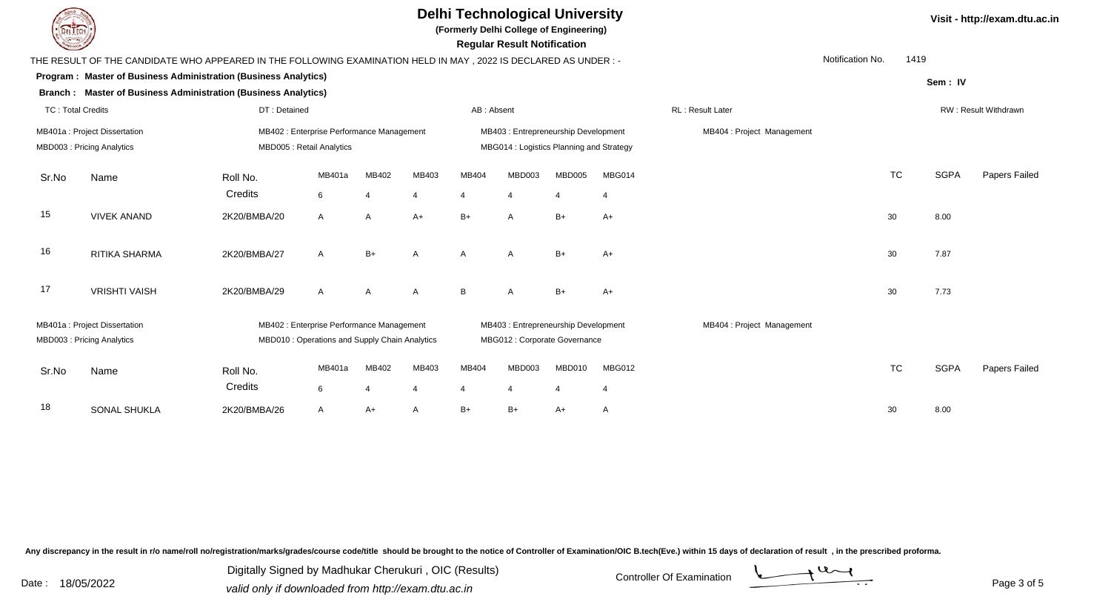

**(Formerly Delhi College of Engineering)**

 **Regular Result Notification**

|                                                                                                                                                          | Notification No.<br>1419<br>THE RESULT OF THE CANDIDATE WHO APPEARED IN THE FOLLOWING EXAMINATION HELD IN MAY , 2022 IS DECLARED AS UNDER :- |                                           |              |                |                |                                                                       |                                          |                            |                |                            |  |           |             |                      |
|----------------------------------------------------------------------------------------------------------------------------------------------------------|----------------------------------------------------------------------------------------------------------------------------------------------|-------------------------------------------|--------------|----------------|----------------|-----------------------------------------------------------------------|------------------------------------------|----------------------------|----------------|----------------------------|--|-----------|-------------|----------------------|
|                                                                                                                                                          | Program: Master of Business Administration (Business Analytics)<br>Sem: IV                                                                   |                                           |              |                |                |                                                                       |                                          |                            |                |                            |  |           |             |                      |
|                                                                                                                                                          | Branch : Master of Business Administration (Business Analytics)                                                                              |                                           |              |                |                |                                                                       |                                          |                            |                |                            |  |           |             |                      |
| DT: Detained<br><b>TC: Total Credits</b>                                                                                                                 |                                                                                                                                              |                                           |              |                |                | AB: Absent                                                            |                                          |                            |                | RL: Result Later           |  |           |             | RW: Result Withdrawn |
|                                                                                                                                                          | MB401a: Project Dissertation                                                                                                                 | MB402 : Enterprise Performance Management |              |                |                |                                                                       | MB403 : Entrepreneurship Development     |                            |                | MB404 : Project Management |  |           |             |                      |
|                                                                                                                                                          | MBD003: Pricing Analytics                                                                                                                    | MBD005 : Retail Analytics                 |              |                |                |                                                                       | MBG014 : Logistics Planning and Strategy |                            |                |                            |  |           |             |                      |
| Sr.No                                                                                                                                                    | Name                                                                                                                                         | Roll No.                                  | MB401a       | MB402          | MB403          | MB404                                                                 | MBD003                                   | <b>MBD005</b>              | MBG014         |                            |  | <b>TC</b> | <b>SGPA</b> | Papers Failed        |
|                                                                                                                                                          |                                                                                                                                              | Credits                                   | 6            | $\overline{4}$ | $\overline{4}$ | $\overline{4}$                                                        |                                          | $\overline{4}$             | $\overline{4}$ |                            |  |           |             |                      |
| 15                                                                                                                                                       | <b>VIVEK ANAND</b>                                                                                                                           | 2K20/BMBA/20                              | $\mathsf{A}$ | $\mathsf{A}$   | $A+$           | $B+$                                                                  | $\mathsf{A}$                             | $B+$                       | $A+$           |                            |  | 30        | 8.00        |                      |
| 16                                                                                                                                                       | RITIKA SHARMA                                                                                                                                | 2K20/BMBA/27                              | $\mathsf{A}$ | $B+$           | $\overline{A}$ | A                                                                     | $\overline{A}$                           | $B+$                       | $A+$           |                            |  | 30        | 7.87        |                      |
| 17                                                                                                                                                       | <b>VRISHTI VAISH</b>                                                                                                                         | 2K20/BMBA/29                              | $\mathsf{A}$ | $\mathsf{A}$   | $\overline{A}$ | B                                                                     | $\overline{A}$                           | $B+$                       | $A+$           |                            |  | 30        | 7.73        |                      |
| MB401a: Project Dissertation<br>MB402 : Enterprise Performance Management<br>MBD003: Pricing Analytics<br>MBD010 : Operations and Supply Chain Analytics |                                                                                                                                              |                                           |              |                |                | MB403 : Entrepreneurship Development<br>MBG012 : Corporate Governance |                                          | MB404 : Project Management |                |                            |  |           |             |                      |
|                                                                                                                                                          |                                                                                                                                              |                                           |              |                |                |                                                                       |                                          |                            |                |                            |  |           |             |                      |
| Sr.No                                                                                                                                                    | Name                                                                                                                                         | Roll No.                                  | MB401a       | MB402          | MB403          | MB404                                                                 | MBD003                                   | MBD010                     | <b>MBG012</b>  |                            |  | <b>TC</b> | <b>SGPA</b> | Papers Failed        |
|                                                                                                                                                          |                                                                                                                                              | Credits                                   | 6            |                | $\overline{4}$ | $\boldsymbol{\Delta}$                                                 |                                          | $\overline{4}$             | $\overline{4}$ |                            |  |           |             |                      |
| 18                                                                                                                                                       | <b>SONAL SHUKLA</b>                                                                                                                          | 2K20/BMBA/26                              | A            | A+             | A              | $B+$                                                                  | $B+$                                     | A+                         | A              |                            |  | 30        | 8.00        |                      |
|                                                                                                                                                          |                                                                                                                                              |                                           |              |                |                |                                                                       |                                          |                            |                |                            |  |           |             |                      |

Any discrepancy in the result in r/o name/roll no/registration/marks/grades/course code/title should be brought to the notice of Controller of Examination/OIC B.tech(Eve.) within 15 days of declaration of result, in the pr

Date : 18/05/2022 Valid only if downloaded from http://exam.dtu.ac.in Controller Of Examination Determination Page 3 of Digitally Signed by Madhukar Cherukuri , OIC (Results)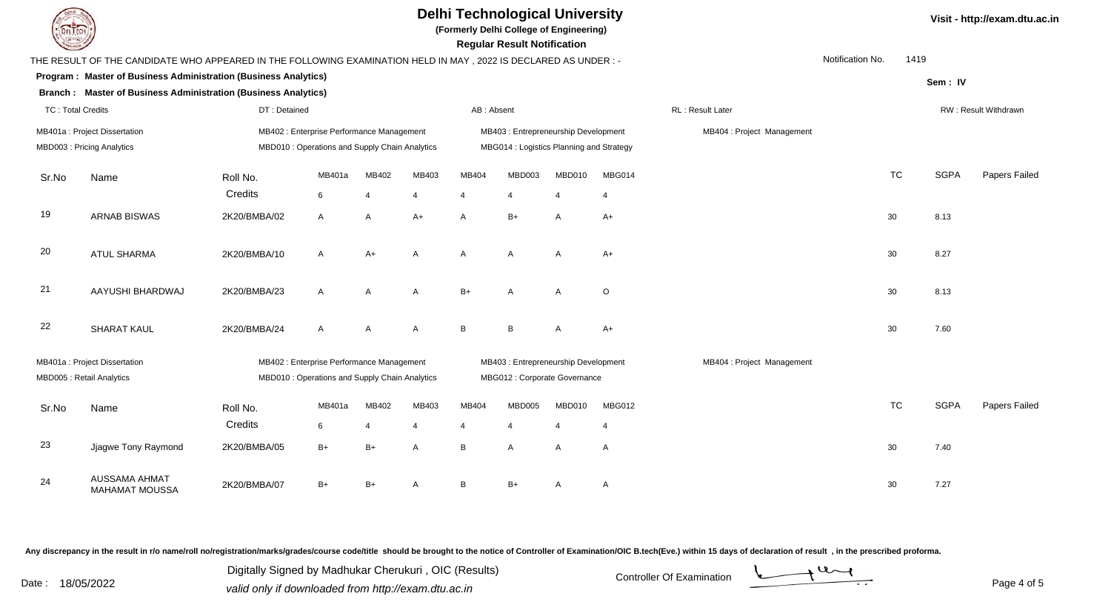

**(Formerly Delhi College of Engineering)**

 **Regular Result Notification**

|       | THE RESULT OF THE CANDIDATE WHO APPEARED IN THE FOLLOWING EXAMINATION HELD IN MAY, 2022 IS DECLARED AS UNDER:- |              |                                                                                             |       |                                          |                |                                                                      |                       |                |                            | Notification No. | 1419      |             |                      |
|-------|----------------------------------------------------------------------------------------------------------------|--------------|---------------------------------------------------------------------------------------------|-------|------------------------------------------|----------------|----------------------------------------------------------------------|-----------------------|----------------|----------------------------|------------------|-----------|-------------|----------------------|
|       | Program : Master of Business Administration (Business Analytics)                                               |              |                                                                                             |       |                                          |                |                                                                      |                       |                |                            |                  |           | Sem: IV     |                      |
|       | Branch: Master of Business Administration (Business Analytics)                                                 |              |                                                                                             |       |                                          |                |                                                                      |                       |                |                            |                  |           |             |                      |
|       | <b>TC: Total Credits</b><br>DT: Detained                                                                       |              |                                                                                             |       |                                          | AB: Absent     |                                                                      |                       |                | RL: Result Later           |                  |           |             | RW: Result Withdrawn |
|       | MB401a : Project Dissertation                                                                                  |              | MB402 : Enterprise Performance Management                                                   |       |                                          |                | MB403: Entrepreneurship Development                                  |                       |                | MB404 : Project Management |                  |           |             |                      |
|       | MBD003: Pricing Analytics                                                                                      |              | MBD010 : Operations and Supply Chain Analytics                                              |       | MBG014 : Logistics Planning and Strategy |                |                                                                      |                       |                |                            |                  |           |             |                      |
| Sr.No | Name                                                                                                           | Roll No.     | MB401a                                                                                      | MB402 | MB403                                    | MB404          | MBD003                                                               | MBD010                | MBG014         |                            |                  | <b>TC</b> | <b>SGPA</b> | Papers Failed        |
|       |                                                                                                                | Credits      | 6                                                                                           | 4     | 4                                        | 4              | $\overline{4}$                                                       | $\overline{4}$        | $\overline{4}$ |                            |                  |           |             |                      |
| 19    | <b>ARNAB BISWAS</b>                                                                                            | 2K20/BMBA/02 | A                                                                                           | A     | $A+$                                     | A              | $B+$                                                                 | Α                     | $A+$           |                            |                  | 30        | 8.13        |                      |
| 20    | <b>ATUL SHARMA</b>                                                                                             | 2K20/BMBA/10 | A                                                                                           | $A+$  | A                                        | A              | A                                                                    | A                     | $A+$           |                            |                  | 30        | 8.27        |                      |
| 21    | AAYUSHI BHARDWAJ                                                                                               | 2K20/BMBA/23 | A                                                                                           | A     | A                                        | $B+$           | $\mathsf{A}$                                                         | A                     | $\circ$        |                            |                  | 30        | 8.13        |                      |
| 22    | <b>SHARAT KAUL</b>                                                                                             | 2K20/BMBA/24 | A                                                                                           | A     | Α                                        | B              | B                                                                    | Α                     | $A+$           |                            |                  | 30        | 7.60        |                      |
|       | MB401a : Project Dissertation<br>MBD005 : Retail Analytics                                                     |              | MB402 : Enterprise Performance Management<br>MBD010 : Operations and Supply Chain Analytics |       |                                          |                | MB403: Entrepreneurship Development<br>MBG012 : Corporate Governance |                       |                | MB404 : Project Management |                  |           |             |                      |
|       |                                                                                                                |              |                                                                                             |       |                                          |                |                                                                      |                       |                |                            |                  |           |             |                      |
| Sr.No | Name                                                                                                           | Roll No.     | MB401a                                                                                      | MB402 | MB403                                    | MB404          | MBD005                                                               | MBD010                | MBG012         |                            |                  | <b>TC</b> | <b>SGPA</b> | Papers Failed        |
|       |                                                                                                                | Credits      | 6                                                                                           | 4     | $\overline{4}$                           | $\overline{4}$ | 4                                                                    | $\boldsymbol{\Delta}$ | $\overline{4}$ |                            |                  |           |             |                      |
| 23    | Jjagwe Tony Raymond                                                                                            | 2K20/BMBA/05 | $B+$                                                                                        | $B+$  | A                                        | B              | $\mathsf{A}$                                                         | A                     | A              |                            |                  | 30        | 7.40        |                      |
| 24    | <b>AUSSAMA AHMAT</b><br><b>MAHAMAT MOUSSA</b>                                                                  | 2K20/BMBA/07 | $B+$                                                                                        | $B+$  | A                                        | B              | $B+$                                                                 | A                     | A              |                            |                  | 30        | 7.27        |                      |

Any discrepancy in the result in r/o name/roll no/registration/marks/grades/course code/title should be brought to the notice of Controller of Examination/OIC B.tech(Eve.) within 15 days of declaration of result, in the pr

Date : 18/05/2022 Valid only if downloaded from http://exam.dtu.ac.in Controller Of Examination Determination Page 4 of Digitally Signed by Madhukar Cherukuri , OIC (Results)